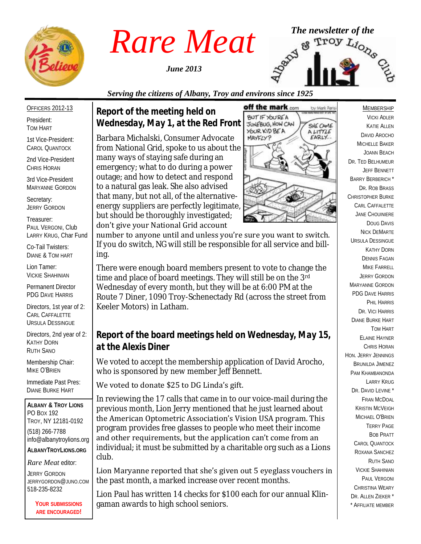

*June 2013*



# *Serving the citizens of Albany, Troy and environs since 1925*

#### OFFICERS 2012-13

President: TOM HART

1st Vice-President: CAROL QUANTOCK

2nd Vice-President CHRIS HORAN

3rd Vice-President MARYANNE GORDON

Secretary: JERRY GORDON

Treasurer: PAUL VERGONI, Club LARRY KRUG, Char Fund

Co-Tail Twisters: DIANE & TOM HART

Lion Tamer: VICKIE SHAHINIAN

Permanent Director PDG DAVE HARRIS

Directors, 1st year of 2: CARL CAFFALETTE URSULA DESSINGUE

Directors, 2nd year of 2: KATHY DORN RUTH SANO

Membership Chair: MIKE O'BRIEN

Immediate Past Pres: DIANE BURKE HART

**ALBANY & TROY LIONS** PO BOX 192 TROY, NY 12181-0192 (518) 266-7788 info@albanytroylions.org **ALBANYTROYLIONS.ORG**

*Rare Meat* editor:

JERRY GORDON JERRYGORDON@JUNO.COM 518-235-8232

> **YOUR SUBMISSIONS ARE ENCOURAGED!**

*Report of the meeting held on Wednesday, May 1, at the Red Front* 

Barbara Michalski, Consumer Advocate from National Grid, spoke to us about the many ways of staying safe during an emergency; what to do during a power outage; and how to detect and respond to a natural gas leak. She also advised that many, but not all, of the alternativeenergy suppliers are perfectly legitimate, but should be thoroughly investigated; don't give your National Grid account



number to anyone until and unless you're sure you want to switch. If you do switch, NG will still be responsible for all service and billing.

There were enough board members present to vote to change the time and place of board meetings. They will still be on the 3rd Wednesday of every month, but they will be at 6:00 PM at the Route 7 Diner, 1090 Troy-Schenectady Rd (across the street from Keeler Motors) in Latham.

# *Report of the board meetings held on Wednesday, May 15, at the Alexis Diner*

We voted to accept the membership application of David Arocho, who is sponsored by new member Jeff Bennett.

### We voted to donate \$25 to DG Linda's gift.

In reviewing the 17 calls that came in to our voice-mail during the previous month, Lion Jerry mentioned that he just learned about the American Optometric Association's Vision USA program. This program provides free glasses to people who meet their income and other requirements, but the application can't come from an individual; it must be submitted by a charitable org such as a Lions club.

Lion Maryanne reported that she's given out 5 eyeglass vouchers in the past month, a marked increase over recent months.

Lion Paul has written 14 checks for \$100 each for our annual Klingaman awards to high school seniors.

MEMBERSHIP VICKI ADLER KATIE ALLEN DAVID AROCHO MICHELLE BAKER JOANN BEACH DR. TED BELHUMEUR JEFF BENNETT BARRY BERBERICH \* DR. ROB BRASS CHRISTOPHER BURKE CARL CAFFALETTE JANE CHOUINIERE DOUG DAVIS NICK DEMARTE URSULA DESSINGUE KATHY DORN DENNIS FAGAN MIKE FARRELL JERRY GORDON MARYANNE GORDON PDG DAVE HARRIS PHIL HARRIS DR. VICI HARRIS DIANE BURKE HART TOM HART ELAINE HAYNER CHRIS HORAN HON. JERRY JENNINGS BRUNILDA JIMENEZ PAM KHAMBANONDA LARRY KRUG DR. DAVID I FVINE \* FRAN MCDOAL KRISTIN MCVEIGH MICHAEL O'BRIEN TERRY PAGE BOB PRATT CAROL QUANTOCK ROXANA SANCHEZ RUTH SANO VICKIE SHAHINIAN PAUL VERGONI CHRISTINA WEARY DR. ALLEN ZIEKER \* \* AFFILIATE MEMBER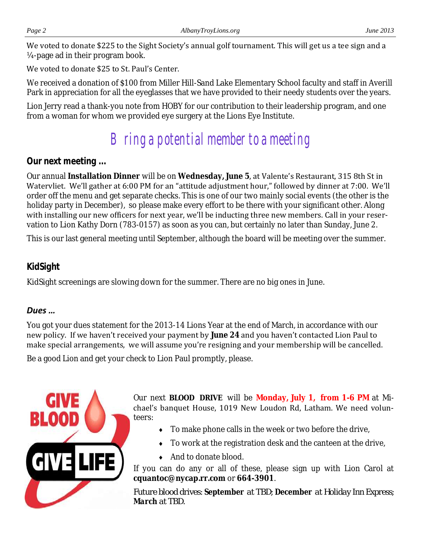We voted to donate \$225 to the Sight Society's annual golf tournament. This will get us a tee sign and a ¼-page ad in their program book.

### We voted to donate \$25 to St. Paul's Center.

We received a donation of \$100 from Miller Hill-Sand Lake Elementary School faculty and staff in Averill Park in appreciation for all the eyeglasses that we have provided to their needy students over the years.

Lion Jerry read a thank-you note from HOBY for our contribution to their leadership program, and one from a woman for whom we provided eye surgery at the Lions Eye Institute.

# Bring a potential member to a meeting

# *Our next meeting ...*

Our annual **Installation Dinner** will be on **Wednesday, June 5**, at Valente's Restaurant, 315 8th St in Watervliet. We'll gather at 6:00 PM for an "attitude adjustment hour," followed by dinner at 7:00. We'll order off the menu and get separate checks. This is one of our two mainly social events (the other is the holiday party in December), so please make every effort to be there with your significant other. Along with installing our new officers for next year, we'll be inducting three new members. Call in your reservation to Lion Kathy Dorn (783-0157) as soon as you can, but certainly no later than Sunday, June 2.

This is our last general meeting until September, although the board will be meeting over the summer.

# *KidSight*

KidSight screenings are slowing down for the summer. There are no big ones in June.

### *Dues …*

You got your dues statement for the 2013-14 Lions Year at the end of March, in accordance with our new policy. If we haven't received your payment by **June 24** and you haven't contacted Lion Paul to make special arrangements, we will assume you're resigning and your membership will be cancelled.

Be a good Lion and get your check to Lion Paul promptly, please.



Our next **BLOOD DRIVE** will be **Monday, July 1, from 1-6 PM** at Michael's banquet House, 1019 New Loudon Rd, Latham. We need volunteers:

- $\bullet$  To make phone calls in the week or two before the drive,
- $\bullet$  To work at the registration desk and the canteen at the drive,
- ◆ And to donate blood.

If you can do any or all of these, please sign up with Lion Carol at **cquantoc@nycap.rr.com** or **664-3901**.

*Future blood drives: September at TBD; December at Holiday Inn Express; March at TBD.*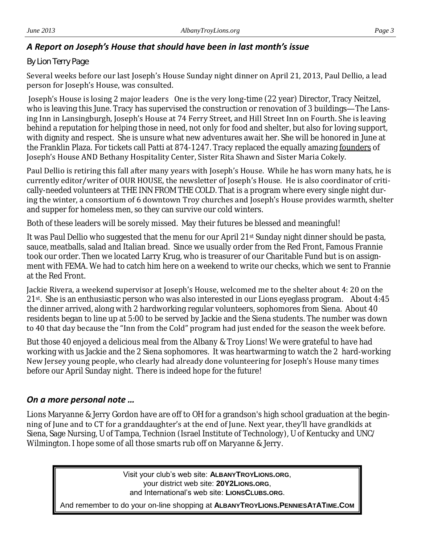### *A Report on Joseph's House that should have been in last month's issue*

#### *By Lion Terry Page*

Several weeks before our last Joseph's House Sunday night dinner on April 21, 2013, Paul Dellio, a lead person for Joseph's House, was consulted.

Joseph's House is losing 2 major leaders One is the very long-time (22 year) Director, Tracy Neitzel, who is leaving this June. Tracy has supervised the construction or renovation of 3 buildings—The Lansing Inn in Lansingburgh, Joseph's House at 74 Ferry Street, and Hill Street Inn on Fourth. She is leaving behind a reputation for helping those in need, not only for food and shelter, but also for loving support, with dignity and respect. She is unsure what new adventures await her. She will be honored in June at the Franklin Plaza. For tickets call Patti at 874-1247. Tracy replaced the equally amazing founders of Joseph's House AND Bethany Hospitality Center, Sister Rita Shawn and Sister Maria Cokely.

Paul Dellio is retiring this fall after many years with Joseph's House. While he has worn many hats, he is currently editor/writer of OUR HOUSE, the newsletter of Joseph's House. He is also coordinator of critically-needed volunteers at THE INN FROM THE COLD. That is a program where every single night during the winter, a consortium of 6 downtown Troy churches and Joseph's House provides warmth, shelter and supper for homeless men, so they can survive our cold winters.

Both of these leaders will be sorely missed. May their futures be blessed and meaningful!

It was Paul Dellio who suggested that the menu for our April 21st Sunday night dinner should be pasta, sauce, meatballs, salad and Italian bread. Since we usually order from the Red Front, Famous Frannie took our order. Then we located Larry Krug, who is treasurer of our Charitable Fund but is on assignment with FEMA. We had to catch him here on a weekend to write our checks, which we sent to Frannie at the Red Front.

Jackie Rivera, a weekend supervisor at Joseph's House, welcomed me to the shelter about 4: 20 on the 21<sup>st</sup>. She is an enthusiastic person who was also interested in our Lions eyeglass program. About 4:45 the dinner arrived, along with 2 hardworking regular volunteers, sophomores from Siena. About 40 residents began to line up at 5:00 to be served by Jackie and the Siena students. The number was down to 40 that day because the "Inn from the Cold" program had just ended for the season the week before.

But those 40 enjoyed a delicious meal from the Albany & Troy Lions! We were grateful to have had working with us Jackie and the 2 Siena sophomores. It was heartwarming to watch the 2 hard-working New Jersey young people, who clearly had already done volunteering for Joseph's House many times before our April Sunday night. There is indeed hope for the future!

### *On a more personal note …*

Lions Maryanne & Jerry Gordon have are off to OH for a grandson's high school graduation at the beginning of June and to CT for a granddaughter's at the end of June. Next year, they'll have grandkids at Siena, Sage Nursing, U of Tampa, Technion (Israel Institute of Technology), U of Kentucky and UNC/ Wilmington. I hope some of all those smarts rub off on Maryanne & Jerry.

> Visit your club's web site: **ALBANYTROYLIONS.ORG**, your district web site: **20Y2LIONS.ORG**, and International's web site: **LIONSCLUBS.ORG**.

And remember to do your on-line shopping at **ALBANYTROYLIONS.PENNIESATATIME.COM**